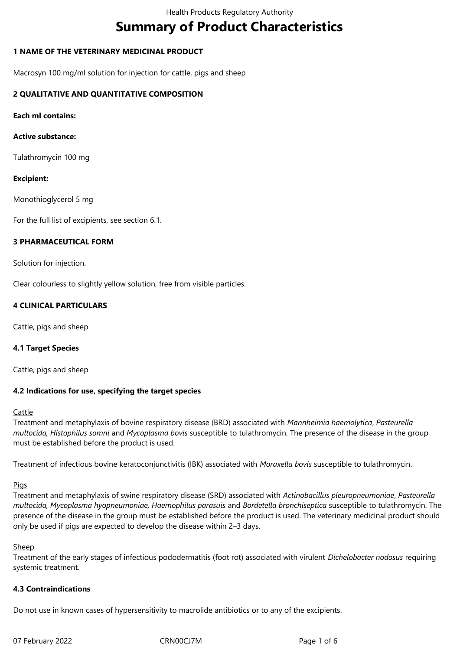# **Summary of Product Characteristics**

# **1 NAME OF THE VETERINARY MEDICINAL PRODUCT**

Macrosyn 100 mg/ml solution for injection for cattle, pigs and sheep

# **2 QUALITATIVE AND QUANTITATIVE COMPOSITION**

**Each ml contains:**

## **Active substance:**

Tulathromycin 100 mg

## **Excipient:**

Monothioglycerol 5 mg

For the full list of excipients, see section 6.1.

## **3 PHARMACEUTICAL FORM**

Solution for injection.

Clear colourless to slightly yellow solution, free from visible particles.

# **4 CLINICAL PARTICULARS**

Cattle, pigs and sheep

# **4.1 Target Species**

Cattle, pigs and sheep

# **4.2 Indications for use, specifying the target species**

#### Cattle

Treatment and metaphylaxis of bovine respiratory disease (BRD) associated with *Mannheimia haemolytica*, *Pasteurella multocida, Histophilus somni* and *Mycoplasma bovis* susceptible to tulathromycin. The presence of the disease in the group must be established before the product is used.

Treatment of infectious bovine keratoconjunctivitis (IBK) associated with *Moraxella bovis* susceptible to tulathromycin.

#### **Pigs**

Treatment and metaphylaxis of swine respiratory disease (SRD) associated with *Actinobacillus pleuropneumoniae*, *Pasteurella multocida, Mycoplasma hyopneumoniae, Haemophilus parasuis* and *Bordetella bronchiseptica* susceptible to tulathromycin. The presence of the disease in the group must be established before the product is used. The veterinary medicinal product should only be used if pigs are expected to develop the disease within 2–3 days.

#### **Sheep**

Treatment of the early stages of infectious pododermatitis (foot rot) associated with virulent *Dichelobacter nodosus* requiring systemic treatment.

# **4.3 Contraindications**

Do not use in known cases of hypersensitivity to macrolide antibiotics or to any of the excipients.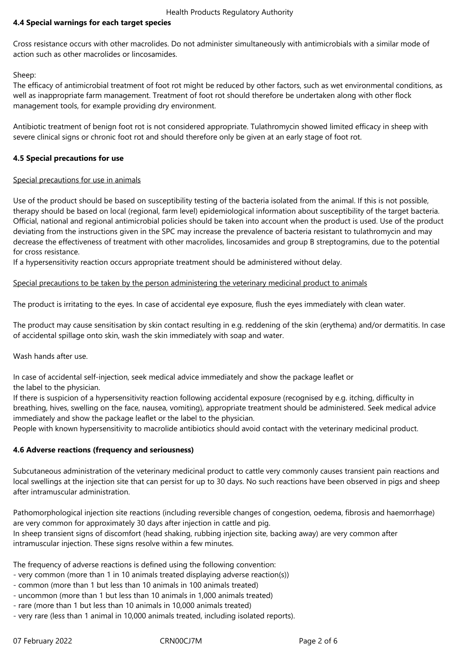# **4.4 Special warnings for each target species**

Cross resistance occurs with other macrolides. Do not administer simultaneously with antimicrobials with a similar mode of action such as other macrolides or lincosamides.

Sheep:

The efficacy of antimicrobial treatment of foot rot might be reduced by other factors, such as wet environmental conditions, as well as inappropriate farm management. Treatment of foot rot should therefore be undertaken along with other flock management tools, for example providing dry environment.

Antibiotic treatment of benign foot rot is not considered appropriate. Tulathromycin showed limited efficacy in sheep with severe clinical signs or chronic foot rot and should therefore only be given at an early stage of foot rot.

### **4.5 Special precautions for use**

## Special precautions for use in animals

Use of the product should be based on susceptibility testing of the bacteria isolated from the animal. If this is not possible, therapy should be based on local (regional, farm level) epidemiological information about susceptibility of the target bacteria. Official, national and regional antimicrobial policies should be taken into account when the product is used. Use of the product deviating from the instructions given in the SPC may increase the prevalence of bacteria resistant to tulathromycin and may decrease the effectiveness of treatment with other macrolides, lincosamides and group B streptogramins, due to the potential for cross resistance.

If a hypersensitivity reaction occurs appropriate treatment should be administered without delay.

## Special precautions to be taken by the person administering the veterinary medicinal product to animals

The product is irritating to the eyes. In case of accidental eye exposure, flush the eyes immediately with clean water.

The product may cause sensitisation by skin contact resulting in e.g. reddening of the skin (erythema) and/or dermatitis. In case of accidental spillage onto skin, wash the skin immediately with soap and water.

Wash hands after use.

In case of accidental self-injection, seek medical advice immediately and show the package leaflet or the label to the physician.

If there is suspicion of a hypersensitivity reaction following accidental exposure (recognised by e.g. itching, difficulty in breathing, hives, swelling on the face, nausea, vomiting), appropriate treatment should be administered. Seek medical advice immediately and show the package leaflet or the label to the physician.

People with known hypersensitivity to macrolide antibiotics should avoid contact with the veterinary medicinal product.

#### **4.6 Adverse reactions (frequency and seriousness)**

Subcutaneous administration of the veterinary medicinal product to cattle very commonly causes transient pain reactions and local swellings at the injection site that can persist for up to 30 days. No such reactions have been observed in pigs and sheep after intramuscular administration.

Pathomorphological injection site reactions (including reversible changes of congestion, oedema, fibrosis and haemorrhage) are very common for approximately 30 days after injection in cattle and pig.

In sheep transient signs of discomfort (head shaking, rubbing injection site, backing away) are very common after intramuscular injection. These signs resolve within a few minutes.

The frequency of adverse reactions is defined using the following convention:

- very common (more than 1 in 10 animals treated displaying adverse reaction(s))
- common (more than 1 but less than 10 animals in 100 animals treated)
- uncommon (more than 1 but less than 10 animals in 1,000 animals treated)
- rare (more than 1 but less than 10 animals in 10,000 animals treated)
- very rare (less than 1 animal in 10,000 animals treated, including isolated reports).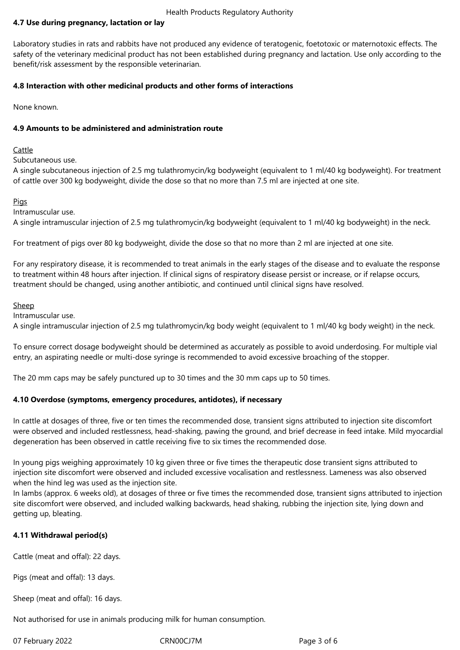#### Health Products Regulatory Authority

# **4.7 Use during pregnancy, lactation or lay**

Laboratory studies in rats and rabbits have not produced any evidence of teratogenic, foetotoxic or maternotoxic effects. The safety of the veterinary medicinal product has not been established during pregnancy and lactation. Use only according to the benefit/risk assessment by the responsible veterinarian.

## **4.8 Interaction with other medicinal products and other forms of interactions**

None known.

## **4.9 Amounts to be administered and administration route**

## Cattle

Subcutaneous use.

A single subcutaneous injection of 2.5 mg tulathromycin/kg bodyweight (equivalent to 1 ml/40 kg bodyweight). For treatment of cattle over 300 kg bodyweight, divide the dose so that no more than 7.5 ml are injected at one site.

## Pigs

Intramuscular use.

A single intramuscular injection of 2.5 mg tulathromycin/kg bodyweight (equivalent to 1 ml/40 kg bodyweight) in the neck.

For treatment of pigs over 80 kg bodyweight, divide the dose so that no more than 2 ml are injected at one site.

For any respiratory disease, it is recommended to treat animals in the early stages of the disease and to evaluate the response to treatment within 48 hours after injection. If clinical signs of respiratory disease persist or increase, or if relapse occurs, treatment should be changed, using another antibiotic, and continued until clinical signs have resolved.

#### Sheep

Intramuscular use.

A single intramuscular injection of 2.5 mg tulathromycin/kg body weight (equivalent to 1 ml/40 kg body weight) in the neck.

To ensure correct dosage bodyweight should be determined as accurately as possible to avoid underdosing. For multiple vial entry, an aspirating needle or multi-dose syringe is recommended to avoid excessive broaching of the stopper.

The 20 mm caps may be safely punctured up to 30 times and the 30 mm caps up to 50 times.

#### **4.10 Overdose (symptoms, emergency procedures, antidotes), if necessary**

In cattle at dosages of three, five or ten times the recommended dose, transient signs attributed to injection site discomfort were observed and included restlessness, head-shaking, pawing the ground, and brief decrease in feed intake. Mild myocardial degeneration has been observed in cattle receiving five to six times the recommended dose.

In young pigs weighing approximately 10 kg given three or five times the therapeutic dose transient signs attributed to injection site discomfort were observed and included excessive vocalisation and restlessness. Lameness was also observed when the hind leg was used as the injection site.

In lambs (approx. 6 weeks old), at dosages of three or five times the recommended dose, transient signs attributed to injection site discomfort were observed, and included walking backwards, head shaking, rubbing the injection site, lying down and getting up, bleating.

# **4.11 Withdrawal period(s)**

Cattle (meat and offal): 22 days.

Pigs (meat and offal): 13 days.

Sheep (meat and offal): 16 days.

Not authorised for use in animals producing milk for human consumption.

07 February 2022 CRN00CJ7M Page 3 of 6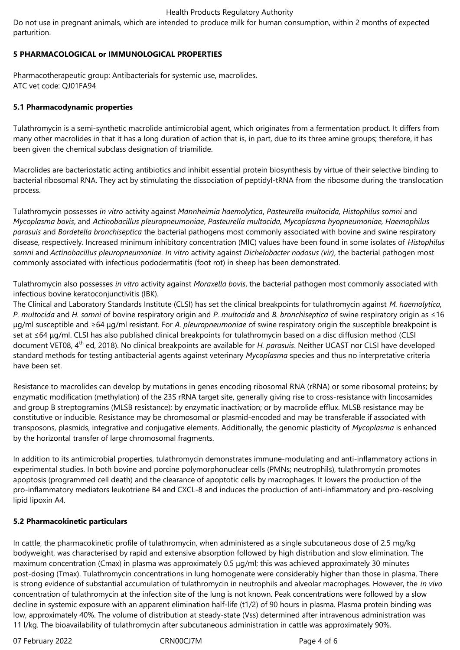#### Health Products Regulatory Authority

Do not use in pregnant animals, which are intended to produce milk for human consumption, within 2 months of expected parturition.

# **5 PHARMACOLOGICAL or IMMUNOLOGICAL PROPERTIES**

Pharmacotherapeutic group: Antibacterials for systemic use, macrolides. ATC vet code: QJ01FA94

## **5.1 Pharmacodynamic properties**

Tulathromycin is a semi-synthetic macrolide antimicrobial agent, which originates from a fermentation product. It differs from many other macrolides in that it has a long duration of action that is, in part, due to its three amine groups; therefore, it has been given the chemical subclass designation of triamilide.

Macrolides are bacteriostatic acting antibiotics and inhibit essential protein biosynthesis by virtue of their selective binding to bacterial ribosomal RNA. They act by stimulating the dissociation of peptidyl-tRNA from the ribosome during the translocation process.

Tulathromycin possesses *in vitro* activity against *Mannheimia haemolytica*, *Pasteurella multocida, Histophilus somni* and *Mycoplasma bovis*, and *Actinobacillus pleuropneumoniae*, *Pasteurella multocida, Mycoplasma hyopneumoniae, Haemophilus parasuis* and *Bordetella bronchiseptica* the bacterial pathogens most commonly associated with bovine and swine respiratory disease, respectively. Increased minimum inhibitory concentration (MIC) values have been found in some isolates of *Histophilus somni* and *Actinobacillus pleuropneumoniae. In vitro* activity against *Dichelobacter nodosus (vir)*, the bacterial pathogen most commonly associated with infectious pododermatitis (foot rot) in sheep has been demonstrated.

Tulathromycin also possesses *in vitro* activity against *Moraxella bovis*, the bacterial pathogen most commonly associated with infectious bovine keratoconjunctivitis (IBK).

The Clinical and Laboratory Standards Institute (CLSI) has set the clinical breakpoints for tulathromycin against *M. haemolytica, P. multocida* and *H. somni* of bovine respiratory origin and *P. multocida* and *B. bronchiseptica* of swine respiratory origin as ≤16 μg/ml susceptible and ≥64 μg/ml resistant. For *A. pleuropneumoniae* of swine respiratory origin the susceptible breakpoint is set at ≤64 µg/ml. CLSI has also published clinical breakpoints for tulathromycin based on a disc diffusion method (CLSI document VET08, 4th ed, 2018). No clinical breakpoints are available for *H. parasuis*. Neither UCAST nor CLSI have developed standard methods for testing antibacterial agents against veterinary *Mycoplasma* species and thus no interpretative criteria have been set.

Resistance to macrolides can develop by mutations in genes encoding ribosomal RNA (rRNA) or some ribosomal proteins; by enzymatic modification (methylation) of the 23S rRNA target site, generally giving rise to cross-resistance with lincosamides and group B streptogramins (MLSB resistance); by enzymatic inactivation; or by macrolide efflux. MLSB resistance may be constitutive or inducible. Resistance may be chromosomal or plasmid-encoded and may be transferable if associated with transposons, plasmids, integrative and conjugative elements. Additionally, the genomic plasticity of *Mycoplasma* is enhanced by the horizontal transfer of large chromosomal fragments.

In addition to its antimicrobial properties, tulathromycin demonstrates immune-modulating and anti-inflammatory actions in experimental studies. In both bovine and porcine polymorphonuclear cells (PMNs; neutrophils), tulathromycin promotes apoptosis (programmed cell death) and the clearance of apoptotic cells by macrophages. It lowers the production of the pro-inflammatory mediators leukotriene B4 and CXCL-8 and induces the production of anti-inflammatory and pro-resolving lipid lipoxin A4.

#### **5.2 Pharmacokinetic particulars**

In cattle, the pharmacokinetic profile of tulathromycin, when administered as a single subcutaneous dose of 2.5 mg/kg bodyweight, was characterised by rapid and extensive absorption followed by high distribution and slow elimination. The maximum concentration (Cmax) in plasma was approximately 0.5 μg/ml; this was achieved approximately 30 minutes post-dosing (Tmax). Tulathromycin concentrations in lung homogenate were considerably higher than those in plasma. There is strong evidence of substantial accumulation of tulathromycin in neutrophils and alveolar macrophages. However, the *in vivo*  concentration of tulathromycin at the infection site of the lung is not known. Peak concentrations were followed by a slow decline in systemic exposure with an apparent elimination half-life (t1/2) of 90 hours in plasma. Plasma protein binding was low, approximately 40%. The volume of distribution at steady-state (Vss) determined after intravenous administration was 11 l/kg. The bioavailability of tulathromycin after subcutaneous administration in cattle was approximately 90%.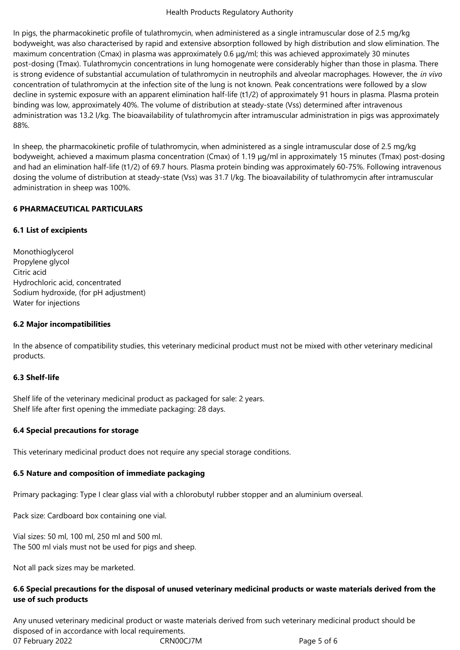#### Health Products Regulatory Authority

In pigs, the pharmacokinetic profile of tulathromycin, when administered as a single intramuscular dose of 2.5 mg/kg bodyweight, was also characterised by rapid and extensive absorption followed by high distribution and slow elimination. The maximum concentration (Cmax) in plasma was approximately 0.6 μg/ml; this was achieved approximately 30 minutes post-dosing (Tmax). Tulathromycin concentrations in lung homogenate were considerably higher than those in plasma. There is strong evidence of substantial accumulation of tulathromycin in neutrophils and alveolar macrophages. However, the *in vivo*  concentration of tulathromycin at the infection site of the lung is not known. Peak concentrations were followed by a slow decline in systemic exposure with an apparent elimination half-life (t1/2) of approximately 91 hours in plasma. Plasma protein binding was low, approximately 40%. The volume of distribution at steady-state (Vss) determined after intravenous administration was 13.2 l/kg. The bioavailability of tulathromycin after intramuscular administration in pigs was approximately 88%.

In sheep, the pharmacokinetic profile of tulathromycin, when administered as a single intramuscular dose of 2.5 mg/kg bodyweight, achieved a maximum plasma concentration (Cmax) of 1.19 μg/ml in approximately 15 minutes (Tmax) post-dosing and had an elimination half-life (t1/2) of 69.7 hours. Plasma protein binding was approximately 60-75%. Following intravenous dosing the volume of distribution at steady-state (Vss) was 31.7 l/kg. The bioavailability of tulathromycin after intramuscular administration in sheep was 100%.

## **6 PHARMACEUTICAL PARTICULARS**

## **6.1 List of excipients**

Monothioglycerol Propylene glycol Citric acid Hydrochloric acid, concentrated Sodium hydroxide, (for pH adjustment) Water for injections

## **6.2 Major incompatibilities**

In the absence of compatibility studies, this veterinary medicinal product must not be mixed with other veterinary medicinal products.

#### **6.3 Shelf-life**

Shelf life of the veterinary medicinal product as packaged for sale: 2 years. Shelf life after first opening the immediate packaging: 28 days.

#### **6.4 Special precautions for storage**

This veterinary medicinal product does not require any special storage conditions.

# **6.5 Nature and composition of immediate packaging**

Primary packaging: Type I clear glass vial with a chlorobutyl rubber stopper and an aluminium overseal.

Pack size: Cardboard box containing one vial.

Vial sizes: 50 ml, 100 ml, 250 ml and 500 ml. The 500 ml vials must not be used for pigs and sheep.

Not all pack sizes may be marketed.

# **6.6 Special precautions for the disposal of unused veterinary medicinal products or waste materials derived from the use of such products**

07 February 2022 CRN00CJ7M Page 5 of 6 Any unused veterinary medicinal product or waste materials derived from such veterinary medicinal product should be disposed of in accordance with local requirements.